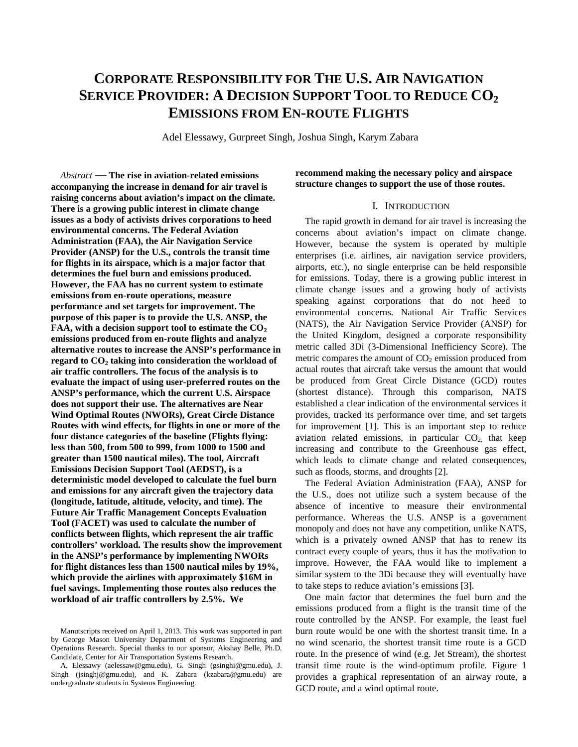# **CORPORATE RESPONSIBILITY FOR THE U.S. AIR NAVIGATION SERVICE PROVIDER: A DECISION SUPPORT TOOL TO REDUCE CO<sub>2</sub> EMISSIONS FROM EN-ROUTE FLIGHTS**

Adel Elessawy, Gurpreet Singh, Joshua Singh, Karym Zabara

*Abstract* — **The rise in aviation-related emissions accompanying the increase in demand for air travel is raising concerns about aviation's impact on the climate. There is a growing public interest in climate change issues as a body of activists drives corporations to heed environmental concerns. The Federal Aviation Administration (FAA), the Air Navigation Service Provider (ANSP) for the U.S., controls the transit time for flights in its airspace, which is a major factor that determines the fuel burn and emissions produced. However, the FAA has no current system to estimate emissions from en-route operations, measure performance and set targets for improvement. The purpose of this paper is to provide the U.S. ANSP, the FAA, with a decision support tool to estimate the**  $CO<sub>2</sub>$ **emissions produced from en-route flights and analyze alternative routes to increase the ANSP's performance in regard** to  $CO<sub>2</sub>$  **taking** into consideration the workload of **air traffic controllers. The focus of the analysis is to evaluate the impact of using user-preferred routes on the ANSP's performance, which the current U.S. Airspace does not support their use. The alternatives are Near Wind Optimal Routes (NWORs), Great Circle Distance Routes with wind effects, for flights in one or more of the four distance categories of the baseline (Flights flying: less than 500, from 500 to 999, from 1000 to 1500 and greater than 1500 nautical miles). The tool, Aircraft Emissions Decision Support Tool (AEDST), is a deterministic model developed to calculate the fuel burn and emissions for any aircraft given the trajectory data (longitude, latitude, altitude, velocity, and time). The Future Air Traffic Management Concepts Evaluation Tool (FACET) was used to calculate the number of conflicts between flights, which represent the air traffic controllers' workload. The results show the improvement in the ANSP's performance by implementing NWORs for flight distances less than 1500 nautical miles by 19%, which provide the airlines with approximately \$16M in fuel savings. Implementing those routes also reduces the workload of air traffic controllers by 2.5%. We** 

**recommend making the necessary policy and airspace structure changes to support the use of those routes.**

## I. INTRODUCTION

The rapid growth in demand for air travel is increasing the concerns about aviation's impact on climate change. However, because the system is operated by multiple enterprises (i.e. airlines, air navigation service providers, airports, etc.), no single enterprise can be held responsible for emissions. Today, there is a growing public interest in climate change issues and a growing body of activists speaking against corporations that do not heed to environmental concerns. National Air Traffic Services (NATS), the Air Navigation Service Provider (ANSP) for the United Kingdom, designed a corporate responsibility metric called 3Di (3-Dimensional Inefficiency Score). The metric compares the amount of  $CO<sub>2</sub>$  emission produced from actual routes that aircraft take versus the amount that would be produced from Great Circle Distance (GCD) routes (shortest distance). Through this comparison, NATS established a clear indication of the environmental services it provides, tracked its performance over time, and set targets for improvement [1]. This is an important step to reduce aviation related emissions, in particular  $CO<sub>2</sub>$  that keep increasing and contribute to the Greenhouse gas effect, which leads to climate change and related consequences, such as floods, storms, and droughts [2].

The Federal Aviation Administration (FAA), ANSP for the U.S., does not utilize such a system because of the absence of incentive to measure their environmental performance. Whereas the U.S. ANSP is a government monopoly and does not have any competition, unlike NATS, which is a privately owned ANSP that has to renew its contract every couple of years, thus it has the motivation to improve. However, the FAA would like to implement a similar system to the 3Di because they will eventually have to take steps to reduce aviation's emissions [3].

One main factor that determines the fuel burn and the emissions produced from a flight is the transit time of the route controlled by the ANSP. For example, the least fuel burn route would be one with the shortest transit time. In a no wind scenario, the shortest transit time route is a GCD route. In the presence of wind (e.g. Jet Stream), the shortest transit time route is the wind-optimum profile. Figure 1 provides a graphical representation of an airway route, a GCD route, and a wind optimal route.

Manutscripts received on April 1, 2013. This work was supported in part by George Mason University Department of Systems Engineering and Operations Research. Special thanks to our sponsor, Akshay Belle, Ph.D. Candidate, Center for Air Transportation Systems Research.

A. Elessawy (aelessaw@gmu.edu), G. Singh (gsinghi@gmu.edu), J. Singh (jsinghj@gmu.edu), and K. Zabara (kzabara@gmu.edu) are undergraduate students in Systems Engineering.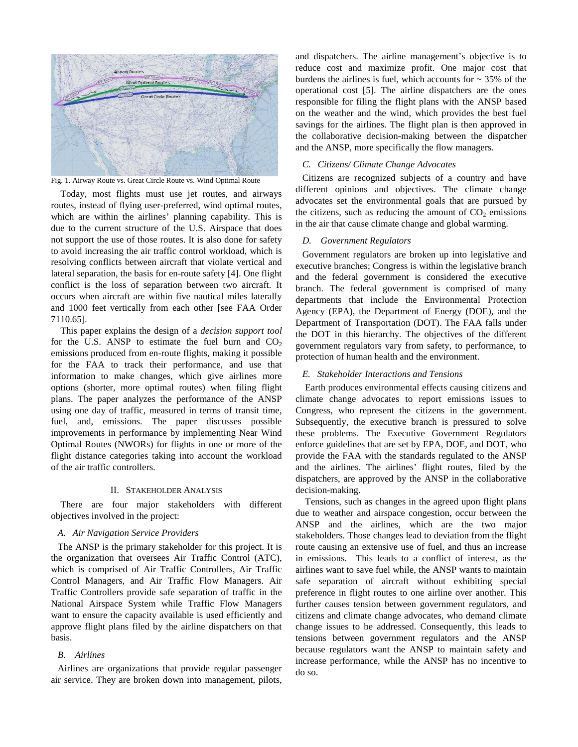

Fig. 1. Airway Route vs. Great Circle Route vs. Wind Optimal Route

Today, most flights must use jet routes, and airways routes, instead of flying user-preferred, wind optimal routes, which are within the airlines' planning capability. This is due to the current structure of the U.S. Airspace that does not support the use of those routes. It is also done for safety to avoid increasing the air traffic control workload, which is resolving conflicts between aircraft that violate vertical and lateral separation, the basis for en-route safety [4]. One flight conflict is the loss of separation between two aircraft. It occurs when aircraft are within five nautical miles laterally and 1000 feet vertically from each other [see FAA Order 7110.65].

This paper explains the design of a *decision support tool* for the U.S. ANSP to estimate the fuel burn and  $CO<sub>2</sub>$ emissions produced from en-route flights, making it possible for the FAA to track their performance, and use that information to make changes, which give airlines more options (shorter, more optimal routes) when filing flight plans. The paper analyzes the performance of the ANSP using one day of traffic, measured in terms of transit time, fuel, and, emissions. The paper discusses possible improvements in performance by implementing Near Wind Optimal Routes (NWORs) for flights in one or more of the flight distance categories taking into account the workload of the air traffic controllers.

# II. STAKEHOLDER ANALYSIS

There are four major stakeholders with different objectives involved in the project:

# *A. Air Navigation Service Providers*

The ANSP is the primary stakeholder for this project. It is the organization that oversees Air Traffic Control (ATC), which is comprised of Air Traffic Controllers, Air Traffic Control Managers, and Air Traffic Flow Managers. Air Traffic Controllers provide safe separation of traffic in the National Airspace System while Traffic Flow Managers want to ensure the capacity available is used efficiently and approve flight plans filed by the airline dispatchers on that basis.

# *B. Airlines*

Airlines are organizations that provide regular passenger air service. They are broken down into management, pilots, and dispatchers. The airline management's objective is to reduce cost and maximize profit. One major cost that burdens the airlines is fuel, which accounts for  $\sim$  35% of the operational cost [5]. The airline dispatchers are the ones responsible for filing the flight plans with the ANSP based on the weather and the wind, which provides the best fuel savings for the airlines. The flight plan is then approved in the collaborative decision-making between the dispatcher and the ANSP, more specifically the flow managers.

# *C. Citizens/ Climate Change Advocates*

Citizens are recognized subjects of a country and have different opinions and objectives. The climate change advocates set the environmental goals that are pursued by the citizens, such as reducing the amount of  $CO<sub>2</sub>$  emissions in the air that cause climate change and global warming.

#### *D. Government Regulators*

Government regulators are broken up into legislative and executive branches; Congress is within the legislative branch and the federal government is considered the executive branch. The federal government is comprised of many departments that include the Environmental Protection Agency (EPA), the Department of Energy (DOE), and the Department of Transportation (DOT). The FAA falls under the DOT in this hierarchy. The objectives of the different government regulators vary from safety, to performance, to protection of human health and the environment.

# *E. Stakeholder Interactions and Tensions*

Earth produces environmental effects causing citizens and climate change advocates to report emissions issues to Congress, who represent the citizens in the government. Subsequently, the executive branch is pressured to solve these problems. The Executive Government Regulators enforce guidelines that are set by EPA, DOE, and DOT, who provide the FAA with the standards regulated to the ANSP and the airlines. The airlines' flight routes, filed by the dispatchers, are approved by the ANSP in the collaborative decision-making.

Tensions, such as changes in the agreed upon flight plans due to weather and airspace congestion, occur between the ANSP and the airlines, which are the two major stakeholders. Those changes lead to deviation from the flight route causing an extensive use of fuel, and thus an increase in emissions. This leads to a conflict of interest, as the airlines want to save fuel while, the ANSP wants to maintain safe separation of aircraft without exhibiting special preference in flight routes to one airline over another. This further causes tension between government regulators, and citizens and climate change advocates, who demand climate change issues to be addressed. Consequently, this leads to tensions between government regulators and the ANSP because regulators want the ANSP to maintain safety and increase performance, while the ANSP has no incentive to do so.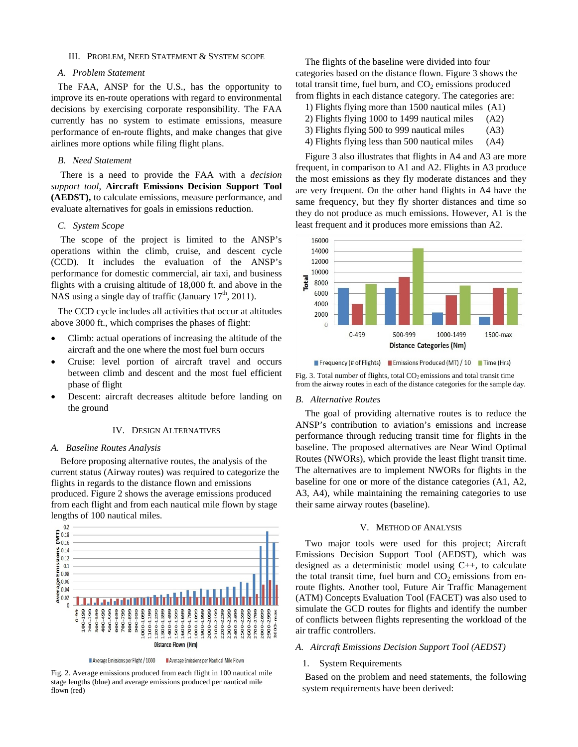# III. PROBLEM, NEED STATEMENT & SYSTEM SCOPE

# *A. Problem Statement*

The FAA, ANSP for the U.S., has the opportunity to improve its en-route operations with regard to environmental decisions by exercising corporate responsibility. The FAA currently has no system to estimate emissions, measure performance of en-route flights, and make changes that give airlines more options while filing flight plans.

# *B. Need Statement*

There is a need to provide the FAA with a *decision support tool*, **Aircraft Emissions Decision Support Tool (AEDST),** to calculate emissions, measure performance, and evaluate alternatives for goals in emissions reduction.

## *C. System Scope*

The scope of the project is limited to the ANSP's operations within the climb, cruise, and descent cycle (CCD). It includes the evaluation of the ANSP's performance for domestic commercial, air taxi, and business flights with a cruising altitude of 18,000 ft. and above in the NAS using a single day of traffic (January  $17<sup>th</sup>$ , 2011).

The CCD cycle includes all activities that occur at altitudes above 3000 ft., which comprises the phases of flight:

- Climb: actual operations of increasing the altitude of the aircraft and the one where the most fuel burn occurs
- Cruise: level portion of aircraft travel and occurs between climb and descent and the most fuel efficient phase of flight
- Descent: aircraft decreases altitude before landing on the ground

### IV. DESIGN ALTERNATIVES

#### *A. Baseline Routes Analysis*

Before proposing alternative routes, the analysis of the current status (Airway routes) was required to categorize the flights in regards to the distance flown and emissions produced. Figure 2 shows the average emissions produced from each flight and from each nautical mile flown by stage lengths of 100 nautical miles.



Average Emissions per Flight / 1000 Average Emissions per Nautical Mile Flown

Fig. 2. Average emissions produced from each flight in 100 nautical mile stage lengths (blue) and average emissions produced per nautical mile flown (red)

The flights of the baseline were divided into four categories based on the distance flown. Figure 3 shows the total transit time, fuel burn, and  $CO<sub>2</sub>$  emissions produced from flights in each distance category. The categories are:

- 1) Flights flying more than 1500 nautical miles (A1)
- 2) Flights flying 1000 to 1499 nautical miles (A2)
- 3) Flights flying 500 to 999 nautical miles (A3)
- 4) Flights flying less than 500 nautical miles (A4)

Figure 3 also illustrates that flights in A4 and A3 are more frequent, in comparison to A1 and A2. Flights in A3 produce the most emissions as they fly moderate distances and they are very frequent. On the other hand flights in A4 have the same frequency, but they fly shorter distances and time so they do not produce as much emissions. However, A1 is the least frequent and it produces more emissions than A2.



Frequency (# of Flights) Emissions Produced (MT) / 10 Time (Hrs) Fig. 3. Total number of flights, total  $CO<sub>2</sub>$  emissions and total transit time from the airway routes in each of the distance categories for the sample day.

#### *B. Alternative Routes*

The goal of providing alternative routes is to reduce the ANSP's contribution to aviation's emissions and increase performance through reducing transit time for flights in the baseline. The proposed alternatives are Near Wind Optimal Routes (NWORs), which provide the least flight transit time. The alternatives are to implement NWORs for flights in the baseline for one or more of the distance categories (A1, A2, A3, A4), while maintaining the remaining categories to use their same airway routes (baseline).

#### V. METHOD OF ANALYSIS

Two major tools were used for this project; Aircraft Emissions Decision Support Tool (AEDST), which was designed as a deterministic model using C++, to calculate the total transit time, fuel burn and  $CO<sub>2</sub>$  emissions from enroute flights. Another tool, Future Air Traffic Management (ATM) Concepts Evaluation Tool (FACET) was also used to simulate the GCD routes for flights and identify the number of conflicts between flights representing the workload of the air traffic controllers.

# *A. Aircraft Emissions Decision Support Tool (AEDST)*

#### 1. System Requirements

Based on the problem and need statements, the following system requirements have been derived: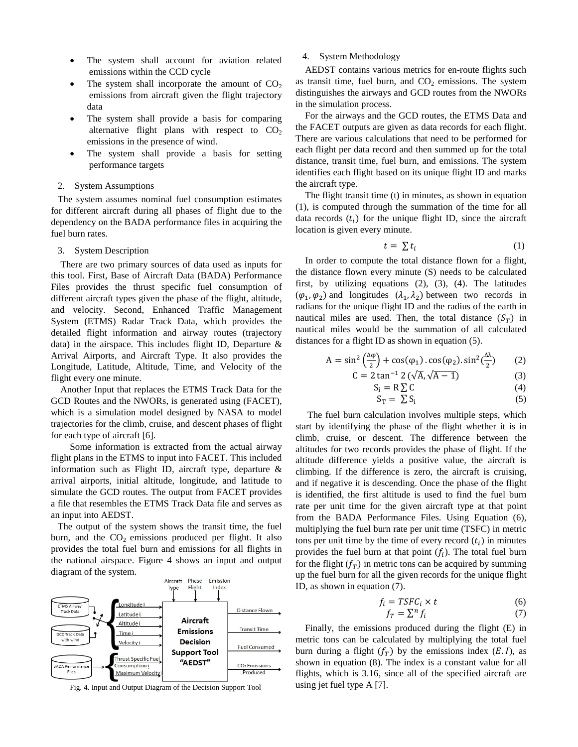- The system shall account for aviation related emissions within the CCD cycle
- The system shall incorporate the amount of  $CO<sub>2</sub>$ emissions from aircraft given the flight trajectory data
- The system shall provide a basis for comparing alternative flight plans with respect to  $CO<sub>2</sub>$ emissions in the presence of wind.
- The system shall provide a basis for setting performance targets

#### 2. System Assumptions

The system assumes nominal fuel consumption estimates for different aircraft during all phases of flight due to the dependency on the BADA performance files in acquiring the fuel burn rates.

#### 3. System Description

There are two primary sources of data used as inputs for this tool. First, Base of Aircraft Data (BADA) Performance Files provides the thrust specific fuel consumption of different aircraft types given the phase of the flight, altitude, and velocity. Second, Enhanced Traffic Management System (ETMS) Radar Track Data, which provides the detailed flight information and airway routes (trajectory data) in the airspace. This includes flight ID, Departure & Arrival Airports, and Aircraft Type. It also provides the Longitude, Latitude, Altitude, Time, and Velocity of the flight every one minute.

Another Input that replaces the ETMS Track Data for the GCD Routes and the NWORs, is generated using (FACET), which is a simulation model designed by NASA to model trajectories for the climb, cruise, and descent phases of flight for each type of aircraft [6].

Some information is extracted from the actual airway flight plans in the ETMS to input into FACET. This included information such as Flight ID, aircraft type, departure & arrival airports, initial altitude, longitude, and latitude to simulate the GCD routes. The output from FACET provides a file that resembles the ETMS Track Data file and serves as an input into AEDST.

The output of the system shows the transit time, the fuel burn, and the  $CO<sub>2</sub>$  emissions produced per flight. It also provides the total fuel burn and emissions for all flights in the national airspace. Figure 4 shows an input and output diagram of the system.



Fig. 4. Input and Output Diagram of the Decision Support Tool

# 4. System Methodology

AEDST contains various metrics for en-route flights such as transit time, fuel burn, and  $CO<sub>2</sub>$  emissions. The system distinguishes the airways and GCD routes from the NWORs in the simulation process.

For the airways and the GCD routes, the ETMS Data and the FACET outputs are given as data records for each flight. There are various calculations that need to be performed for each flight per data record and then summed up for the total distance, transit time, fuel burn, and emissions. The system identifies each flight based on its unique flight ID and marks the aircraft type.

The flight transit time (t) in minutes, as shown in equation (1), is computed through the summation of the time for all data records  $(t_i)$  for the unique flight ID, since the aircraft location is given every minute.

$$
t = \sum t_i \tag{1}
$$

In order to compute the total distance flown for a flight, the distance flown every minute (S) needs to be calculated first, by utilizing equations (2), (3), (4). The latitudes  $(\varphi_1, \varphi_2)$  and longitudes  $(\lambda_1, \lambda_2)$  between two records in radians for the unique flight ID and the radius of the earth in nautical miles are used. Then, the total distance  $(S_T)$  in nautical miles would be the summation of all calculated distances for a flight ID as shown in equation (5).

$$
A = \sin^2\left(\frac{\Delta\varphi}{2}\right) + \cos(\varphi_1) \cdot \cos(\varphi_2) \cdot \sin^2\left(\frac{\Delta\lambda}{2}\right) \tag{2}
$$

$$
C = 2 \tan^{-1} 2 (\sqrt{A}, \sqrt{A} - 1)
$$
 (3)

$$
S_i = R \sum C \tag{4}
$$

$$
S_T = \sum S_i \tag{5}
$$

The fuel burn calculation involves multiple steps, which start by identifying the phase of the flight whether it is in climb, cruise, or descent. The difference between the altitudes for two records provides the phase of flight. If the altitude difference yields a positive value, the aircraft is climbing. If the difference is zero, the aircraft is cruising, and if negative it is descending. Once the phase of the flight is identified, the first altitude is used to find the fuel burn rate per unit time for the given aircraft type at that point from the BADA Performance Files. Using Equation (6), multiplying the fuel burn rate per unit time (TSFC) in metric tons per unit time by the time of every record  $(t_i)$  in minutes provides the fuel burn at that point  $(f_i)$ . The total fuel burn for the flight  $(f_T)$  in metric tons can be acquired by summing up the fuel burn for all the given records for the unique flight ID, as shown in equation (7).

$$
f_i = TSEC_i \times t \tag{6}
$$

$$
f_T = \sum^n f_i \tag{7}
$$

Finally, the emissions produced during the flight (E) in metric tons can be calculated by multiplying the total fuel burn during a flight  $(f<sub>T</sub>)$  by the emissions index  $(E, I)$ , as shown in equation (8). The index is a constant value for all flights, which is 3.16, since all of the specified aircraft are using jet fuel type A [7].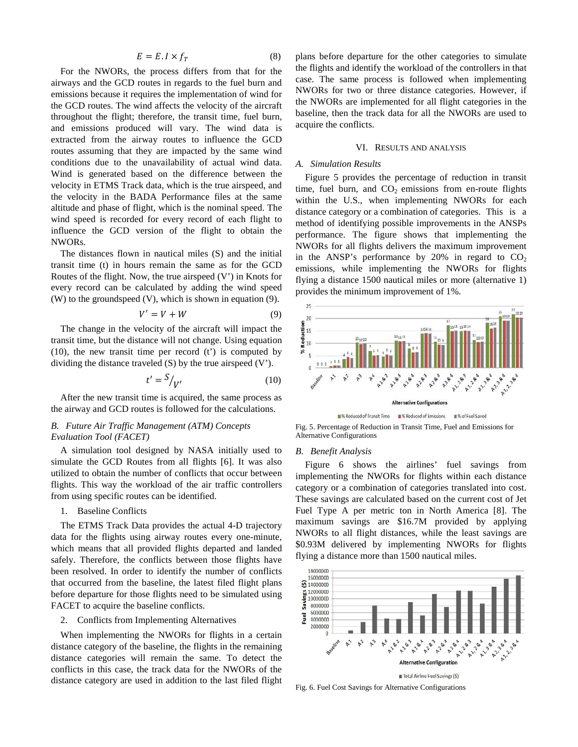$$
E = E.I \times f_T \tag{8}
$$

For the NWORs, the process differs from that for the airways and the GCD routes in regards to the fuel burn and emissions because it requires the implementation of wind for the GCD routes. The wind affects the velocity of the aircraft throughout the flight; therefore, the transit time, fuel burn, and emissions produced will vary. The wind data is extracted from the airway routes to influence the GCD routes assuming that they are impacted by the same wind conditions due to the unavailability of actual wind data. Wind is generated based on the difference between the velocity in ETMS Track data, which is the true airspeed, and the velocity in the BADA Performance files at the same altitude and phase of flight, which is the nominal speed. The wind speed is recorded for every record of each flight to influence the GCD version of the flight to obtain the NWORs.

The distances flown in nautical miles (S) and the initial transit time (t) in hours remain the same as for the GCD Routes of the flight. Now, the true airspeed (V') in Knots for every record can be calculated by adding the wind speed (W) to the groundspeed (V), which is shown in equation (9).

$$
V' = V + W \tag{9}
$$

The change in the velocity of the aircraft will impact the transit time, but the distance will not change. Using equation  $(10)$ , the new transit time per record  $(t')$  is computed by dividing the distance traveled (S) by the true airspeed (V').

$$
t' = \frac{S}{V'} \tag{10}
$$

After the new transit time is acquired, the same process as the airway and GCD routes is followed for the calculations.

# *B. Future Air Traffic Management (ATM) Concepts Evaluation Tool (FACET)*

A simulation tool designed by NASA initially used to simulate the GCD Routes from all flights [6]. It was also utilized to obtain the number of conflicts that occur between flights. This way the workload of the air traffic controllers from using specific routes can be identified.

# 1. Baseline Conflicts

The ETMS Track Data provides the actual 4-D trajectory data for the flights using airway routes every one-minute, which means that all provided flights departed and landed safely. Therefore, the conflicts between those flights have been resolved. In order to identify the number of conflicts that occurred from the baseline, the latest filed flight plans before departure for those flights need to be simulated using FACET to acquire the baseline conflicts.

## 2. Conflicts from Implementing Alternatives

When implementing the NWORs for flights in a certain distance category of the baseline, the flights in the remaining distance categories will remain the same. To detect the conflicts in this case, the track data for the NWORs of the distance category are used in addition to the last filed flight plans before departure for the other categories to simulate the flights and identify the workload of the controllers in that case. The same process is followed when implementing NWORs for two or three distance categories. However, if the NWORs are implemented for all flight categories in the baseline, then the track data for all the NWORs are used to acquire the conflicts.

# VI. RESULTS AND ANALYSIS

# *A. Simulation Results*

Figure 5 provides the percentage of reduction in transit time, fuel burn, and  $CO<sub>2</sub>$  emissions from en-route flights within the U.S., when implementing NWORs for each distance category or a combination of categories. This is a method of identifying possible improvements in the ANSPs performance. The figure shows that implementing the NWORs for all flights delivers the maximum improvement in the ANSP's performance by 20% in regard to  $CO<sub>2</sub>$ emissions, while implementing the NWORs for flights flying a distance 1500 nautical miles or more (alternative 1) provides the minimum improvement of 1%.





#### *B. Benefit Analysis*

Figure 6 shows the airlines' fuel savings from implementing the NWORs for flights within each distance category or a combination of categories translated into cost. These savings are calculated based on the current cost of Jet Fuel Type A per metric ton in North America [8]. The maximum savings are \$16.7M provided by applying NWORs to all flight distances, while the least savings are \$0.93M delivered by implementing NWORs for flights flying a distance more than 1500 nautical miles.



Fig. 6. Fuel Cost Savings for Alternative Configurations